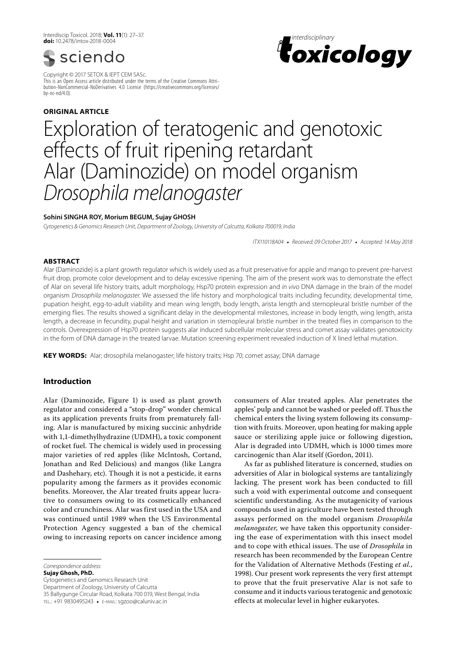Interdiscip Toxicol. 2018; **Vol. 11**(1): 27–37. **doi:** 10.2478/intox-2018-0004



Copyright © 2017 SETOX & IEPT CEM SASc. This is an Open Access article distributed under the terms of the Creative Commons Attribution-NonCommercial-NoDerivatives 4.0 License (https://creativecommons.org/licenses/ by-nc-nd/4.0).

# **ORIGINAL article**



# Exploration of teratogenic and genotoxic effects of fruit ripening retardant Alar (Daminozide) on model organism *Drosophila melanogaster*

# **Sohini Singha Roy, Morium Begum, Sujay Ghosh**

*Cytogenetics & Genomics Research Unit, Department of Zoology, University of Calcutta, Kolkata 700019, India*

*ITX110118A04* • *Received: 09 October 2017* • *Accepted: 14 May 2018*

# **ABSTRACT**

Alar (Daminozide) is a plant growth regulator which is widely used as a fruit preservative for apple and mango to prevent pre-harvest fruit drop, promote color development and to delay excessive ripening. The aim of the present work was to demonstrate the effect of Alar on several life history traits, adult morphology, Hsp70 protein expression and *in vivo* DNA damage in the brain of the model organism *Drosophila melanogaster*. We assessed the life history and morphological traits including fecundity, developmental time, pupation height, egg-to-adult viability and mean wing length, body length, arista length and sternopleural bristle number of the emerging flies. The results showed a significant delay in the developmental milestones, increase in body length, wing length, arista length, a decrease in fecundity, pupal height and variation in sternopleural bristle number in the treated flies in comparison to the controls. Overexpression of Hsp70 protein suggests alar induced subcellular molecular stress and comet assay validates genotoxicity in the form of DNA damage in the treated larvae. Mutation screening experiment revealed induction of X lined lethal mutation.

KEY WORDS: Alar; drosophila melanogaster; life history traits; Hsp 70; comet assay; DNA damage

# **Introduction**

Alar (Daminozide, Figure 1) is used as plant growth regulator and considered a "stop-drop" wonder chemical as its application prevents fruits from prematurely falling. Alar is manufactured by mixing succinic anhydride with 1,1-dimethylhydrazine (UDMH), a toxic component of rocket fuel. The chemical is widely used in processing major varieties of red apples (like Mclntosh, Cortand, Jonathan and Red Delicious) and mangos (like Langra and Dashehary, etc). Though it is not a pesticide, it earns popularity among the farmers as it provides economic benefits. Moreover, the Alar treated fruits appear lucrative to consumers owing to its cosmetically enhanced color and crunchiness. Alar was first used in the USA and was continued until 1989 when the US Environmental Protection Agency suggested a ban of the chemical owing to increasing reports on cancer incidence among

*Correspondence address:* 

**Sujay Ghosh, PhD.** Cytogenetics and Genomics Research Unit Department of Zoology, University of Calcutta 35 Ballygunge Circular Road, Kolkata 700 019, West Bengal, India tel.: +91 9830495243 • e-mail: sgzoo@caluniv.ac.in

consumers of Alar treated apples. Alar penetrates the apples' pulp and cannot be washed or peeled off. Thus the chemical enters the living system following its consumption with fruits. Moreover, upon heating for making apple sauce or sterilizing apple juice or following digestion, Alar is degraded into UDMH, which is 1000 times more carcinogenic than Alar itself (Gordon, 2011).

As far as published literature is concerned, studies on adversities of Alar in biological systems are tantalizingly lacking. The present work has been conducted to fill such a void with experimental outcome and consequent scientific understanding. As the mutagenicity of various compounds used in agriculture have been tested through assays performed on the model organism *Drosophila melanogaster*, we have taken this opportunity considering the ease of experimentation with this insect model and to cope with ethical issues. The use of *Drosophila* in research has been recommended by the European Centre for the Validation of Alternative Methods (Festing *et al.*, 1998). Our present work represents the very first attempt to prove that the fruit preservative Alar is not safe to consume and it inducts various teratogenic and genotoxic effects at molecular level in higher eukaryotes.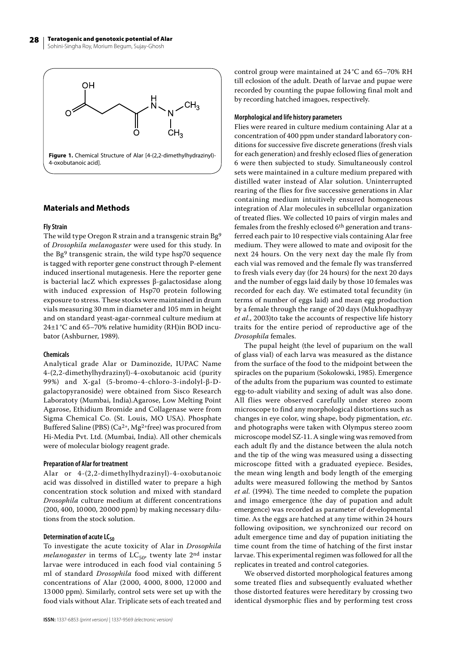

# **Materials and Methods**

# **Fly Strain**

The wild type Oregon R strain and a transgenic strain Bg9 of *Drosophila melanogaster* were used for this study. In the Bg9 transgenic strain, the wild type hsp70 sequence is tagged with reporter gene construct through P-element induced insertional mutagenesis. Here the reporter gene is bacterial lacZ which expresses β-galactosidase along with induced expression of Hsp70 protein following exposure to stress. These stocks were maintained in drum vials measuring 30 mm in diameter and 105 mm in height and on standard yeast-agar-cornmeal culture medium at 24±1°C and 65–70% relative humidity (RH)in BOD incubator (Ashburner, 1989).

# **Chemicals**

Analytical grade Alar or Daminozide, IUPAC Name 4-(2,2-dimethylhydrazinyl)-4-oxobutanoic acid (purity 99%) and X-gal (5-bromo-4-chloro-3-indolyl-β-Dgalactopyranoside) were obtained from Sisco Research Laboratoty (Mumbai, India).Agarose, Low Melting Point Agarose, Ethidium Bromide and Collagenase were from Sigma Chemical Co. (St. Louis, MO USA). Phosphate Buffered Saline (PBS) ( $Ca<sup>2+</sup>, Mg<sup>2+</sup>$ free) was procured from Hi-Media Pvt. Ltd. (Mumbai, India). All other chemicals were of molecular biology reagent grade.

#### **Preparation of Alar for treatment**

Alar or 4-(2,2-dimethylhydrazinyl)-4-oxobutanoic acid was dissolved in distilled water to prepare a high concentration stock solution and mixed with standard *Drosophila* culture medium at different concentrations (200, 400, 10000, 20000 ppm) by making necessary dilutions from the stock solution.

# **Determination of acute LC<sub>50</sub>**

To investigate the acute toxicity of Alar in *Drosophila melanogaster* in terms of  $LC_{50}$ , twenty late 2<sup>nd</sup> instar larvae were introduced in each food vial containing 5 ml of standard *Drosophila* food mixed with different concentrations of Alar (2 000, 4 000, 8 000, 12 000 and 13 000 ppm). Similarly, control sets were set up with the food vials without Alar. Triplicate sets of each treated and control group were maintained at 24 °C and 65–70% RH till eclosion of the adult. Death of larvae and pupae were recorded by counting the pupae following final molt and by recording hatched imagoes, respectively.

#### **Morphological and life history parameters**

Flies were reared in culture medium containing Alar at a concentration of 400 ppm under standard laboratory conditions for successive five discrete generations (fresh vials for each generation) and freshly eclosed flies of generation 6 were then subjected to study. Simultaneously control sets were maintained in a culture medium prepared with distilled water instead of Alar solution. Uninterrupted rearing of the flies for five successive generations in Alar containing medium intuitively ensured homogeneous integration of Alar molecules in subcellular organization of treated flies. We collected 10 pairs of virgin males and females from the freshly eclosed 6th generation and transferred each pair to 10 respective vials containing Alar free medium. They were allowed to mate and oviposit for the next 24 hours. On the very next day the male fly from each vial was removed and the female fly was transferred to fresh vials every day (for 24 hours) for the next 20 days and the number of eggs laid daily by those 10 females was recorded for each day. We estimated total fecundity (in terms of number of eggs laid) and mean egg production by a female through the range of 20 days (Mukhopadhyay *et al.*, 2003)to take the accounts of respective life history traits for the entire period of reproductive age of the *Drosophila* females.

The pupal height (the level of puparium on the wall of glass vial) of each larva was measured as the distance from the surface of the food to the midpoint between the spiracles on the puparium (Sokolowski, 1985). Emergence of the adults from the puparium was counted to estimate egg-to-adult viability and sexing of adult was also done. All flies were observed carefully under stereo zoom microscope to find any morphological distortions such as changes in eye color, wing shape, body pigmentation, *etc.* and photographs were taken with Olympus stereo zoom microscope model SZ-11. A single wing was removed from each adult fly and the distance between the alula notch and the tip of the wing was measured using a dissecting microscope fitted with a graduated eyepiece. Besides, the mean wing length and body length of the emerging adults were measured following the method by Santos *et al.* (1994). The time needed to complete the pupation and imago emergence (the day of pupation and adult emergence) was recorded as parameter of developmental time. As the eggs are hatched at any time within 24 hours following oviposition, we synchronized our record on adult emergence time and day of pupation initiating the time count from the time of hatching of the first instar larvae. This experimental regimen was followed for all the replicates in treated and control categories.

We observed distorted morphological features among some treated flies and subsequently evaluated whether those distorted features were hereditary by crossing two identical dysmorphic flies and by performing test cross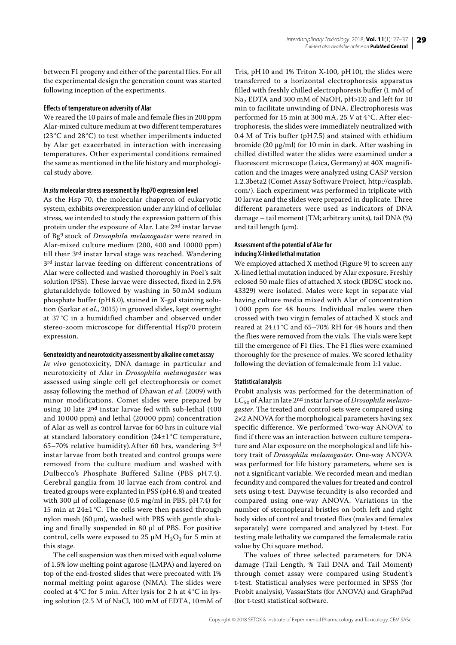between F1 progeny and either of the parental flies. For all the experimental design the generation count was started following inception of the experiments.

#### **Effects of temperature on adversity of Alar**

We reared the 10 pairs of male and female flies in 200 ppm Alar-mixed culture medium at two different temperatures (23 °C and 28 °C) to test whether imperilments inducted by Alar get exacerbated in interaction with increasing temperatures. Other experimental conditions remained the same as mentioned in the life history and morphological study above.

### *In situ* **molecular stress assessment by Hsp70 expression level**

As the Hsp 70, the molecular chaperon of eukaryotic system, exhibits overexpression under any kind of cellular stress, we intended to study the expression pattern of this protein under the exposure of Alar. Late 2nd instar larvae of Bg9 stock of *Drosophila melanogaster* were reared in Alar-mixed culture medium (200, 400 and 10000 ppm) till their 3rd instar larval stage was reached. Wandering 3<sup>rd</sup> instar larvae feeding on different concentrations of Alar were collected and washed thoroughly in Poel's salt solution (PSS). These larvae were dissected, fixed in 2.5% glutaraldehyde followed by washing in 50 mM sodium phosphate buffer (pH8.0), stained in X-gal staining solution (Sarkar *et al.*, 2015) in grooved slides, kept overnight at 37 °C in a humidified chamber and observed under stereo-zoom microscope for differential Hsp70 protein expression.

#### **Genotoxicity and neurotoxicity assessment by alkaline comet assay**

*In vivo* genotoxicity, DNA damage in particular and neurotoxicity of Alar in *Drosophila melanogaster* was assessed using single cell gel electrophoresis or comet assay following the method of Dhawan *et al.* (2009) with minor modifications. Comet slides were prepared by using 10 late 2nd instar larvae fed with sub-lethal (400 and 10 000 ppm) and lethal (20 000 ppm) concentration of Alar as well as control larvae for 60 hrs in culture vial at standard laboratory condition (24±1 °C temperature, 65–70% relative humidity).After 60 hrs, wandering 3rd instar larvae from both treated and control groups were removed from the culture medium and washed with Dulbecco's Phosphate Buffered Saline (PBS pH 7.4). Cerebral ganglia from 10 larvae each from control and treated groups were explanted in PSS (pH6.8) and treated with 300 μl of collagenase (0.5 mg/ml in PBS, pH7.4) for 15 min at 24±1 °C. The cells were then passed through nylon mesh (60 μm), washed with PBS with gentle shaking and finally suspended in 80 μl of PBS. For positive control, cells were exposed to 25  $\mu$ M H<sub>2</sub>O<sub>2</sub> for 5 min at this stage.

The cell suspension was then mixed with equal volume of 1.5% low melting point agarose (LMPA) and layered on top of the end-frosted slides that were precoated with 1% normal melting point agarose (NMA). The slides were cooled at 4°C for 5 min. After lysis for 2 h at 4°C in lysing solution (2.5 M of NaCl, 100 mM of EDTA, 10mM of Tris, pH10 and 1% Triton X-100, pH10), the slides were transferred to a horizontal electrophoresis apparatus filled with freshly chilled electrophoresis buffer (1 mM of Na<sub>2</sub> EDTA and 300 mM of NaOH, pH>13) and left for 10 min to facilitate unwinding of DNA. Electrophoresis was performed for 15 min at 300 mA, 25 V at 4°C. After electrophoresis, the slides were immediately neutralized with 0.4 M of Tris buffer (pH7.5) and stained with ethidium bromide (20 μg/ml) for 10 min in dark. After washing in chilled distilled water the slides were examined under a fluorescent microscope (Leica, Germany) at 40X magnification and the images were analyzed using CASP version 1.2.3beta2 (Comet Assay Software Project, http://casplab. com/). Each experiment was performed in triplicate with 10 larvae and the slides were prepared in duplicate. Three different parameters were used as indicators of DNA damage – tail moment (TM; arbitrary units), tail DNA (%) and tail length (μm).

# **Assessment of the potential of Alar for inducing X-linked lethal mutation**

We employed attached X method (Figure 9) to screen any X-lined lethal mutation induced by Alar exposure. Freshly eclosed 50 male flies of attached X stock (BDSC stock no. 43329) were isolated. Males were kept in separate vial having culture media mixed with Alar of concentration 1 000 ppm for 48 hours. Individual males were then crossed with two virgin females of attached X stock and reared at 24±1 °C and 65–70% RH for 48 hours and then the flies were removed from the vials. The vials were kept till the emergence of F1 flies. The F1 flies were examined thoroughly for the presence of males. We scored lethality following the deviation of female:male from 1:1 value.

# **Statistical analysis**

Probit analysis was performed for the determination of LC50 of Alar in late 2nd instar larvae of *Drosophila melanogaster*. The treated and control sets were compared using 2×2 ANOVA for the morphological parameters having sex specific difference. We performed 'two-way ANOVA' to find if there was an interaction between culture temperature and Alar exposure on the morphological and life history trait of *Drosophila melanogaster*. One-way ANOVA was performed for life history parameters, where sex is not a significant variable. We recorded mean and median fecundity and compared the values for treated and control sets using t-test. Daywise fecundity is also recorded and compared using one-way ANOVA. Variations in the number of sternopleural bristles on both left and right body sides of control and treated flies (males and females separately) were compared and analyzed by t-test. For testing male lethality we compared the female:male ratio value by Chi square method.

The values of three selected parameters for DNA damage (Tail Length, % Tail DNA and Tail Moment) through comet assay were compared using Student's t-test. Statistical analyses were performed in SPSS (for Probit analysis), VassarStats (for ANOVA) and GraphPad (for t-test) statistical software.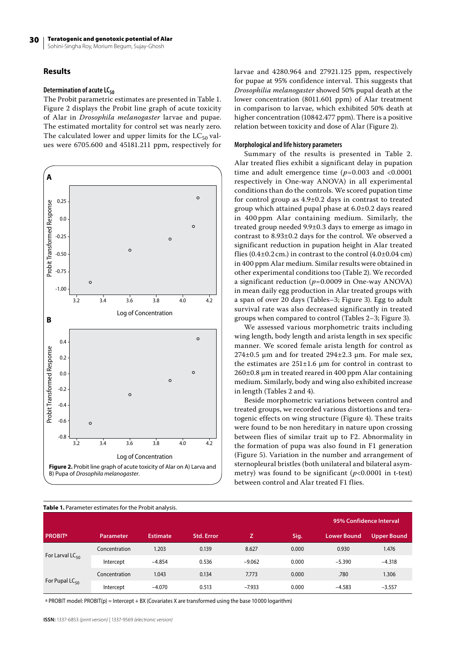# **Results**

### **Determination of acute LC<sub>50</sub>**

The Probit parametric estimates are presented in Table 1. Figure 2 displays the Probit line graph of acute toxicity of Alar in *Drosophila melanogaster* larvae and pupae. The estimated mortality for control set was nearly zero. The calculated lower and upper limits for the  $LC_{50}$  values were 6705.600 and 45181.211 ppm, respectively for



larvae and 4280.964 and 27921.125 ppm, respectively for pupae at 95% confidence interval. This suggests that *Drosophilia melanogaster* showed 50% pupal death at the lower concentration (8011.601 ppm) of Alar treatment in comparison to larvae, which exhibited 50% death at higher concentration (10842.477 ppm). There is a positive relation between toxicity and dose of Alar (Figure 2).

#### **Morphological and life history parameters**

Summary of the results is presented in Table 2. Alar treated flies exhibit a significant delay in pupation time and adult emergence time  $(p=0.003$  and  $<0.0001$ respectively in One-way ANOVA) in all experimental conditions than do the controls. We scored pupation time for control group as 4.9±0.2 days in contrast to treated group which attained pupal phase at 6.0±0.2 days reared in 400 ppm Alar containing medium. Similarly, the treated group needed 9.9±0.3 days to emerge as imago in contrast to 8.93±0.2 days for the control. We observed a significant reduction in pupation height in Alar treated flies  $(0.4\pm0.2 \text{ cm.})$  in contrast to the control  $(4.0\pm0.04 \text{ cm})$ in 400 ppm Alar medium. Similar results were obtained in other experimental conditions too (Table 2). We recorded a significant reduction (*p*=0.0009 in One-way ANOVA) in mean daily egg production in Alar treated groups with a span of over 20 days (Tables–3; Figure 3). Egg to adult survival rate was also decreased significantly in treated groups when compared to control (Tables 2–3; Figure 3).

We assessed various morphometric traits including wing length, body length and arista length in sex specific manner. We scored female arista length for control as  $274\pm0.5$  µm and for treated  $294\pm2.3$  µm. For male sex, the estimates are 251±1.6 µm for control in contrast to 260±0.8 µm in treated reared in 400 ppm Alar containing medium. Similarly, body and wing also exhibited increase in length (Tables 2 and 4).

Beside morphometric variations between control and treated groups, we recorded various distortions and teratogenic effects on wing structure (Figure 4). These traits were found to be non hereditary in nature upon crossing between flies of similar trait up to F2. Abnormality in the formation of pupa was also found in F1 generation (Figure 5). Variation in the number and arrangement of sternopleural bristles (both unilateral and bilateral asymmetry) was found to be significant (*p*<0.0001 in t-test) between control and Alar treated F1 flies.

| <b>Table 1.</b> Parameter estimates for the Probit analysis. |               |          |                   |          |       |             |                         |  |  |
|--------------------------------------------------------------|---------------|----------|-------------------|----------|-------|-------------|-------------------------|--|--|
|                                                              |               |          |                   |          |       |             | 95% Confidence Interval |  |  |
| <b>PROBIT<sup>a</sup></b>                                    | Parameter     | Estimate | <b>Std. Error</b> | z.       | Sig.  | Lower Bound | <b>Upper Bound</b>      |  |  |
| For Larval $LC_{50}$                                         | Concentration | 1.203    | 0.139             | 8.627    | 0.000 | 0.930       | 1.476                   |  |  |
|                                                              | Intercept     | $-4.854$ | 0.536             | $-9.062$ | 0.000 | $-5.390$    | $-4.318$                |  |  |
| For Pupal $LC_{50}$                                          | Concentration | 1.043    | 0.134             | 7.773    | 0.000 | .780        | 1.306                   |  |  |
|                                                              | Intercept     | $-4.070$ | 0.513             | $-7.933$ | 0.000 | $-4.583$    | $-3.557$                |  |  |

**Table 1.** Parameter estimates for the Probit analysis.

a PROBIT model: PROBIT(p) = Intercept + BX (Covariates X are transformed using the base 10 000 logarithm)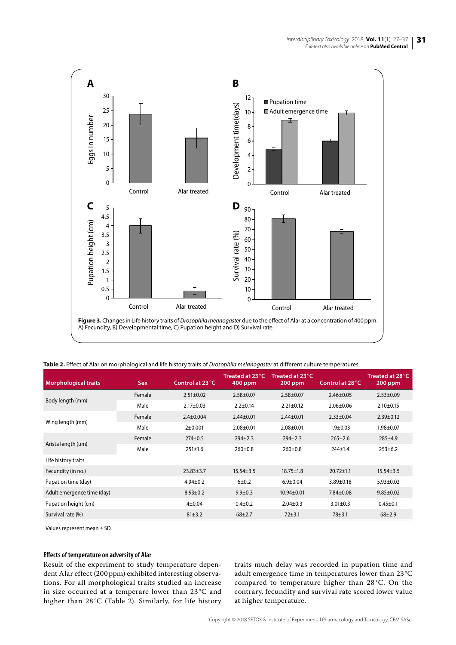

| <b>Morphological traits</b> | <b>Sex</b> | Control at 23 °C | Treated at 23 °C<br>$400$ ppm | Treated at 23 °C<br>$200$ ppm | Control at 28 °C | Treated at 28 °C<br>$200$ ppm |
|-----------------------------|------------|------------------|-------------------------------|-------------------------------|------------------|-------------------------------|
|                             | Female     | $2.51 \pm 0.02$  | $2.58 + 0.07$                 | $2.58 \pm 0.07$               | $2.46 \pm 0.05$  | $2.53 \pm 0.09$               |
| Body length (mm)            | Male       | $2.17 \pm 0.03$  | $2.2 \pm 0.14$                | $2.21 \pm 0.12$               | $2.06 \pm 0.06$  | $2.10 \pm 0.15$               |
|                             | Female     | $2.4 \pm 0.004$  | $2.44 \pm 0.01$               | $2.44 \pm 0.01$               | $2.33 \pm 0.04$  | $2.39 \pm 0.12$               |
| Wing length (mm)            | Male       | $2+0.001$        | $2.08 \pm 0.01$               | $2.08 \pm 0.01$               | $1.9 + 0.03$     | $1.98 + 0.07$                 |
|                             | Female     | $274 \pm 0.5$    | $294 \pm 2.3$                 | $294 \pm 2.3$                 | $265 \pm 2.6$    | $285 \pm 4.9$                 |
| Arista length (µm)          | Male       | $251 \pm 1.6$    | $260 \pm 0.8$                 | $260 \pm 0.8$                 | $244 \pm 1.4$    | $253 \pm 6.2$                 |
| Life history traits         |            |                  |                               |                               |                  |                               |
| Fecundity (in no.)          |            | $23.83 \pm 3.7$  | $15.54 \pm 3.5$               | $18.75 \pm 1.8$               | $20.72 \pm 1.1$  | $15.54 \pm 3.5$               |
| Pupation time (day)         |            | $4.94 \pm 0.2$   | $6 + 0.2$                     | $6.9 \pm 0.04$                | $3.89 \pm 0.18$  | $5.93 \pm 0.02$               |
| Adult emergence time (day)  |            | $8.93 \pm 0.2$   | $9.9 \pm 0.3$                 | $10.94 \pm 0.01$              | $7.84 \pm 0.08$  | $9.85 \pm 0.02$               |
| Pupation height (cm)        |            | $4 + 0.04$       | $0.4 \pm 0.2$                 | $2.04 \pm 0.3$                | $3.01 \pm 0.3$   | $0.45 + 0.1$                  |
| Survival rate (%)           |            | 81±3.2           | $68 + 2.7$                    | $72 + 3.1$                    | $78 + 3.1$       | $68 + 2.9$                    |

**Table 2.** Effect of Alar on morphological and life history traits of *Drosophila melanogaster* at different culture temperatures.

Values represent mean ± SD.

# **Effects of temperature on adversity of Alar**

Result of the experiment to study temperature dependent Alar effect (200 ppm) exhibited interesting observations. For all morphological traits studied an increase in size occurred at a temperare lower than 23 °C and higher than 28 °C (Table 2). Similarly, for life history traits much delay was recorded in pupation time and adult emergence time in temperatures lower than 23 °C compared to temperature higher than 28 °C. On the contrary, fecundity and survival rate scored lower value at higher temperature.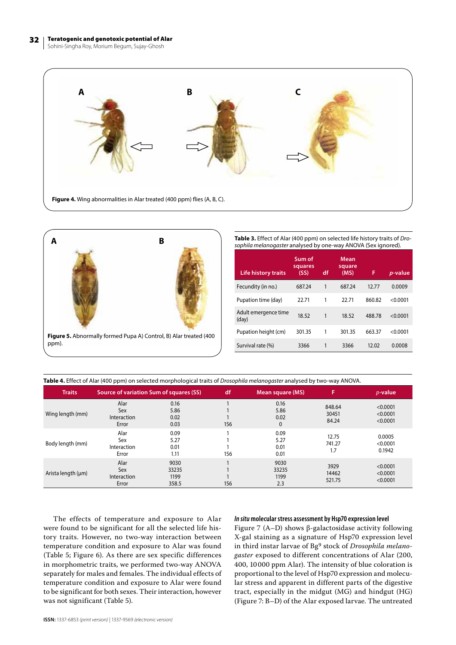Sohini-Singha Roy, Morium Begum, Sujay-Ghosh





**Table 3.** Effect of Alar (400 ppm) on selected life history traits of *Drosophila melanogaster* analysed by one-way ANOVA (Sex ignored).

| <b>Life history traits</b>    | Sum of<br>squares<br>(SS) | df | <b>Mean</b><br>square<br>(MS) | F      | <i>p</i> -value |
|-------------------------------|---------------------------|----|-------------------------------|--------|-----------------|
| Fecundity (in no.)            | 687.24                    | 1  | 687.24                        | 12.77  | 0.0009          |
| Pupation time (day)           | 22.71                     | 1  | 22.71                         | 860.82 | < 0.0001        |
| Adult emergence time<br>(day) | 18.52                     | 1  | 18.52                         | 488.78 | < 0.0001        |
| Pupation height (cm)          | 301.35                    | 1  | 301.35                        | 663.37 | < 0.0001        |
| Survival rate (%)             | 3366                      | 1  | 3366                          | 12.02  | 0.0008          |

| Table 4. Effect of Alar (400 ppm) on selected morphological traits of Drosophila melanogaster analysed by two-way ANOVA. |  |  |
|--------------------------------------------------------------------------------------------------------------------------|--|--|
|                                                                                                                          |  |  |

| <b>Traits</b>      | Source of variation Sum of squares (SS) |                                | df  | Mean square (MS)                     | A                        | $p$ -value                       |
|--------------------|-----------------------------------------|--------------------------------|-----|--------------------------------------|--------------------------|----------------------------------|
| Wing length (mm)   | Alar<br>Sex<br>Interaction<br>Error     | 0.16<br>5.86<br>0.02<br>0.03   | 156 | 0.16<br>5.86<br>0.02<br>$\mathbf{0}$ | 848.64<br>30451<br>84.24 | < 0.0001<br>< 0.0001<br>< 0.0001 |
| Body length (mm)   | Alar<br>Sex<br>Interaction<br>Error     | 0.09<br>5.27<br>0.01<br>1.11   | 156 | 0.09<br>5.27<br>0.01<br>0.01         | 12.75<br>741.27<br>1.7   | 0.0005<br>< 0.0001<br>0.1942     |
| Arista length (µm) | Alar<br>Sex<br>Interaction<br>Error     | 9030<br>33235<br>1199<br>358.5 | 156 | 9030<br>33235<br>1199<br>2.3         | 3929<br>14462<br>521.75  | < 0.0001<br>< 0.0001<br>< 0.0001 |

The effects of temperature and exposure to Alar were found to be significant for all the selected life history traits. However, no two-way interaction between temperature condition and exposure to Alar was found (Table 5; Figure 6). As there are sex specific differences in morphometric traits, we performed two-way ANOVA separately for males and females. The individual effects of temperature condition and exposure to Alar were found to be significant for both sexes. Their interaction, however was not significant (Table 5).

## *In situ* **molecular stress assessment by Hsp70 expression level**

Figure 7 (A–D) shows β-galactosidase activity following X-gal staining as a signature of Hsp70 expression level in third instar larvae of Bg9 stock of *Drosophila melanogaster* exposed to different concentrations of Alar (200, 400, 10000 ppm Alar). The intensity of blue coloration is proportional to the level of Hsp70 expression and molecular stress and apparent in different parts of the digestive tract, especially in the midgut (MG) and hindgut (HG) (Figure 7: B–D) of the Alar exposed larvae. The untreated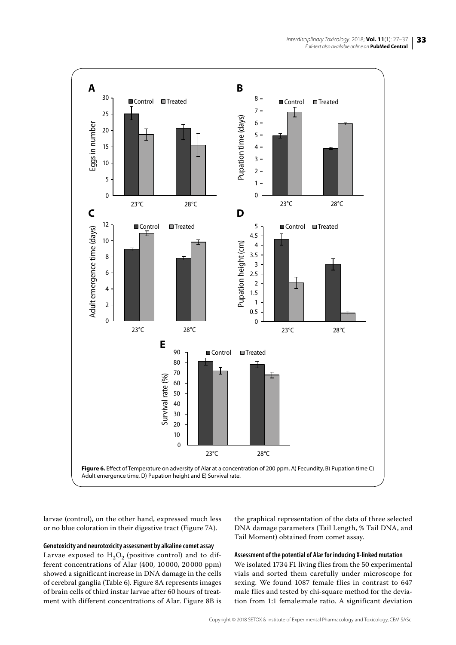

larvae (control), on the other hand, expressed much less or no blue coloration in their digestive tract (Figure 7A).

# **Genotoxicity and neurotoxicity assessment by alkaline comet assay**

Larvae exposed to  $H_2O_2$  (positive control) and to different concentrations of Alar (400, 10 000, 20 000 ppm) showed a significant increase in DNA damage in the cells of cerebral ganglia (Table 6). Figure 8A represents images of brain cells of third instar larvae after 60 hours of treatment with different concentrations of Alar. Figure 8B is the graphical representation of the data of three selected DNA damage parameters (Tail Length, % Tail DNA, and Tail Moment) obtained from comet assay.

#### **Assessment of the potential of Alar for inducing X-linked mutation**

We isolated 1734 F1 living flies from the 50 experimental vials and sorted them carefully under microscope for sexing. We found 1087 female flies in contrast to 647 male flies and tested by chi-square method for the deviation from 1:1 female:male ratio. A significant deviation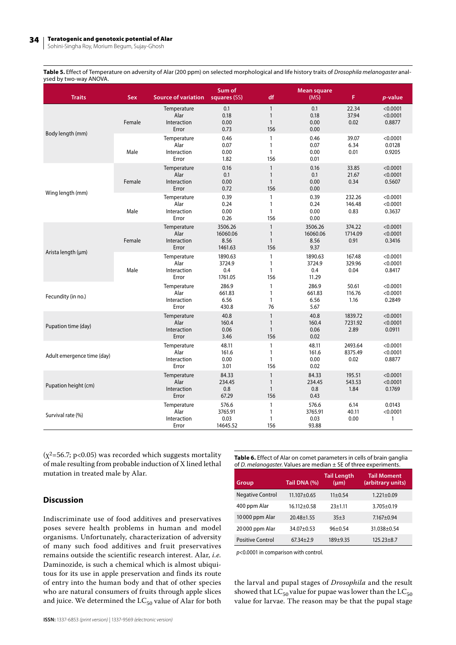#### 34 Teratogenic and genotoxic potential of Alar

Sohini-Singha Roy, Morium Begum, Sujay-Ghosh

**Table 5.** Effect of Temperature on adversity of Alar (200 ppm) on selected morphological and life history traits of *Drosophila melanogaster* analysed by two-way ANOVA.

| <b>Traits</b>              | <b>Sex</b> | <b>Source of variation</b>                  | Sum of<br>squares (SS)                 | df                                                  | Mean square<br>(MS)                 | F                          | p-value                        |
|----------------------------|------------|---------------------------------------------|----------------------------------------|-----------------------------------------------------|-------------------------------------|----------------------------|--------------------------------|
|                            | Female     | Temperature<br>Alar<br>Interaction<br>Error | 0.1<br>0.18<br>0.00<br>0.73            | $\mathbf{1}$<br>$\mathbf{1}$<br>$\mathbf{1}$<br>156 | 0.1<br>0.18<br>0.00<br>0.00         | 22.34<br>37.94<br>0.02     | < 0.0001<br>< 0.0001<br>0.8877 |
| Body length (mm)           | Male       | Temperature<br>Alar<br>Interaction<br>Error | 0.46<br>0.07<br>0.00<br>1.82           | $\mathbf{1}$<br>$\mathbf{1}$<br>$\mathbf{1}$<br>156 | 0.46<br>0.07<br>0.00<br>0.01        | 39.07<br>6.34<br>0.01      | < 0.0001<br>0.0128<br>0.9205   |
|                            | Female     | Temperature<br>Alar<br>Interaction<br>Error | 0.16<br>0.1<br>0.00<br>0.72            | $\mathbf{1}$<br>$\mathbf{1}$<br>$\mathbf{1}$<br>156 | 0.16<br>0.1<br>0.00<br>0.00         | 33.85<br>21.67<br>0.34     | < 0.0001<br>< 0.0001<br>0.5607 |
| Wing length (mm)           | Male       | Temperature<br>Alar<br>Interaction<br>Error | 0.39<br>0.24<br>0.00<br>0.26           | $\mathbf{1}$<br>1<br>$\mathbf{1}$<br>156            | 0.39<br>0.24<br>0.00<br>0.00        | 232.26<br>146.48<br>0.83   | < 0.0001<br>< 0.0001<br>0.3637 |
|                            | Female     | Temperature<br>Alar<br>Interaction<br>Error | 3506.26<br>16060.06<br>8.56<br>1461.63 | $\mathbf{1}$<br>$\mathbf{1}$<br>$\mathbf{1}$<br>156 | 3506.26<br>16060.06<br>8.56<br>9.37 | 374.22<br>1714.09<br>0.91  | < 0.0001<br>< 0.0001<br>0.3416 |
| Arista length (µm)         | Male       | Temperature<br>Alar<br>Interaction<br>Error | 1890.63<br>3724.9<br>0.4<br>1761.05    | $\mathbf{1}$<br>$\mathbf{1}$<br>$\mathbf{1}$<br>156 | 1890.63<br>3724.9<br>0.4<br>11.29   | 167.48<br>329.96<br>0.04   | < 0.0001<br>< 0.0001<br>0.8417 |
| Fecundity (in no.)         |            | Temperature<br>Alar<br>Interaction<br>Error | 286.9<br>661.83<br>6.56<br>430.8       | 1<br>1<br>1<br>76                                   | 286.9<br>661.83<br>6.56<br>5.67     | 50.61<br>116.76<br>1.16    | < 0.0001<br>< 0.0001<br>0.2849 |
| Pupation time (day)        |            | Temperature<br>Alar<br>Interaction<br>Error | 40.8<br>160.4<br>0.06<br>3.46          | $\mathbf{1}$<br>$\mathbf{1}$<br>$\mathbf{1}$<br>156 | 40.8<br>160.4<br>0.06<br>0.02       | 1839.72<br>7231.92<br>2.89 | < 0.0001<br>< 0.0001<br>0.0911 |
| Adult emergence time (day) |            | Temperature<br>Alar<br>Interaction<br>Error | 48.11<br>161.6<br>0.00<br>3.01         | $\mathbf{1}$<br>1<br>$\mathbf{1}$<br>156            | 48.11<br>161.6<br>0.00<br>0.02      | 2493.64<br>8375.49<br>0.02 | < 0.0001<br>< 0.0001<br>0.8877 |
| Pupation height (cm)       |            | Temperature<br>Alar<br>Interaction<br>Error | 84.33<br>234.45<br>0.8<br>67.29        | $\mathbf{1}$<br>$\mathbf{1}$<br>$\mathbf{1}$<br>156 | 84.33<br>234.45<br>0.8<br>0.43      | 195.51<br>543.53<br>1.84   | < 0.0001<br>< 0.0001<br>0.1769 |
| Survival rate (%)          |            | Temperature<br>Alar<br>Interaction<br>Error | 576.6<br>3765.91<br>0.03<br>14645.52   | 1<br>1<br>1<br>156                                  | 576.6<br>3765.91<br>0.03<br>93.88   | 6.14<br>40.11<br>0.00      | 0.0143<br>< 0.0001<br>1        |

 $(x^2=56.7; p<0.05)$  was recorded which suggests mortality of male resulting from probable induction of X lined lethal mutation in treated male by Alar.

# **Discussion**

Indiscriminate use of food additives and preservatives poses severe health problems in human and model organisms. Unfortunately, characterization of adversity of many such food additives and fruit preservatives remains outside the scientific research interest. Alar, *i.e.* Daminozide, is such a chemical which is almost ubiquitous for its use in apple preservation and finds its route of entry into the human body and that of other species who are natural consumers of fruits through apple slices and juice. We determined the  $LC_{50}$  value of Alar for both

**Table 6.** Effect of Alar on comet parameters in cells of brain ganglia of *D. melanogaster*. Values are median ± SE of three experiments.

| Group                   | Tail DNA (%)      | <b>Tail Length</b><br>$(\mu m)$ | <b>Tail Moment</b><br>(arbitrary units) |
|-------------------------|-------------------|---------------------------------|-----------------------------------------|
| <b>Negative Control</b> | $11.107 \pm 0.65$ | $11\pm0.54$                     | $1.221 \pm 0.09$                        |
| 400 ppm Alar            | $16.112 + 0.58$   | $23+1.11$                       | $3.705 \pm 0.19$                        |
| 10000 ppm Alar          | $20.48 \pm 1.55$  | $35+3$                          | $7.167 + 0.94$                          |
| 20000 ppm Alar          | $34.07 \pm 0.53$  | $96+0.54$                       | $31.038 + 0.54$                         |
| Positive Control        | $67.34 \pm 2.9$   | $189 + 9.35$                    | $125.23 + 8.7$                          |

*p*<0.0001 in comparison with control.

the larval and pupal stages of *Drosophila* and the result showed that  $LC_{50}$  value for pupae was lower than the  $LC_{50}$ value for larvae. The reason may be that the pupal stage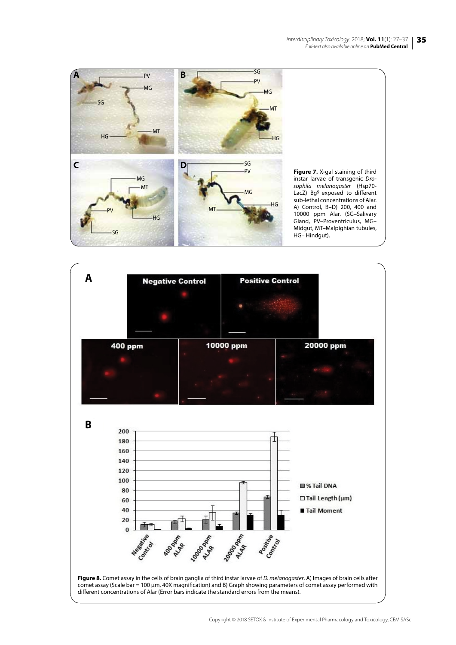



Copyright © 2018 SETOX & Institute of Experimental Pharmacology and Toxicology, CEM SASc.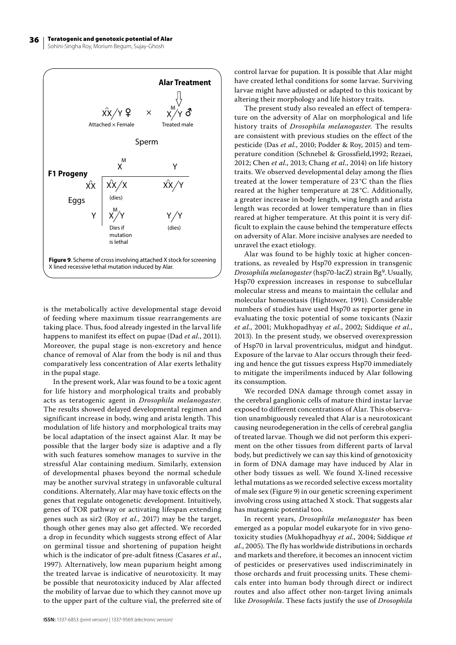

is the metabolically active developmental stage devoid of feeding where maximum tissue rearrangements are taking place. Thus, food already ingested in the larval life happens to manifest its effect on pupae (Dad *et al.*, 2011). Moreover, the pupal stage is non-excretory and hence chance of removal of Alar from the body is nil and thus comparatively less concentration of Alar exerts lethality in the pupal stage.

In the present work, Alar was found to be a toxic agent for life history and morphological traits and probably acts as teratogenic agent in *Drosophila melanogaster*. The results showed delayed developmental regimen and significant increase in body, wing and arista length. This modulation of life history and morphological traits may be local adaptation of the insect against Alar. It may be possible that the larger body size is adaptive and a fly with such features somehow manages to survive in the stressful Alar containing medium. Similarly, extension of developmental phases beyond the normal schedule may be another survival strategy in unfavorable cultural conditions. Alternately, Alar may have toxic effects on the genes that regulate ontogenetic development. Intuitively, genes of TOR pathway or activating lifespan extending genes such as sir2 (Roy *et al.*, 2017) may be the target, though other genes may also get affected. We recorded a drop in fecundity which suggests strong effect of Alar on germinal tissue and shortening of pupation height which is the indicator of pre-adult fitness (Casares *et al.*, 1997). Alternatively, low mean puparium height among the treated larvae is indicative of neurotoxicity. It may be possible that neurotoxicity induced by Alar affected the mobility of larvae due to which they cannot move up to the upper part of the culture vial, the preferred site of control larvae for pupation. It is possible that Alar might have created lethal conditions for some larvae. Surviving larvae might have adjusted or adapted to this toxicant by altering their morphology and life history traits.

The present study also revealed an effect of temperature on the adversity of Alar on morphological and life history traits of *Drosophila melanogaster*. The results are consistent with previous studies on the effect of the pesticide (Das *et al.*, 2010; Podder & Roy, 2015) and temperature condition (Schnebel & Grossfield,1992; Rezaei, 2012; Chen *et al.*, 2013; Chang *et al.*, 2014) on life history traits. We observed developmental delay among the flies treated at the lower temperature of 23 °C than the flies reared at the higher temperature at 28 °C. Additionally, a greater increase in body length, wing length and arista length was recorded at lower temperature than in flies reared at higher temperature. At this point it is very difficult to explain the cause behind the temperature effects on adversity of Alar. More incisive analyses are needed to unravel the exact etiology.

Alar was found to be highly toxic at higher concentrations, as revealed by Hsp70 expression in transgenic *Drosophila melanogaster* (hsp70-lacZ) strain Bg9. Usually, Hsp70 expression increases in response to subcellular molecular stress and means to maintain the cellular and molecular homeostasis (Hightower, 1991). Considerable numbers of studies have used Hsp70 as reporter gene in evaluating the toxic potential of some toxicants (Nazir *et al.*, 2001; Mukhopadhyay *et al.*, 2002; Siddique *et al.*, 2013). In the present study, we observed overexpression of Hsp70 in larval proventriculus, midgut and hindgut. Exposure of the larvae to Alar occurs through their feeding and hence the gut tissues express Hsp70 immediately to mitigate the imperilments induced by Alar following its consumption.

We recorded DNA damage through comet assay in the cerebral ganglionic cells of mature third instar larvae exposed to different concentrations of Alar. This observation unambiguously revealed that Alar is a neurotoxicant causing neurodegeneration in the cells of cerebral ganglia of treated larvae. Though we did not perform this experiment on the other tissues from different parts of larval body, but predictively we can say this kind of genotoxicity in form of DNA damage may have induced by Alar in other body tissues as well. We found X-lined recessive lethal mutations as we recorded selective excess mortality of male sex (Figure 9) in our genetic screening experiment involving cross using attached X stock. That suggests alar has mutagenic potential too.

In recent years, *Drosophila melanogaster* has been emerged as a popular model eukaryote for in vivo genotoxicity studies (Mukhopadhyay *et al.*, 2004; Siddique *et al.*, 2005). The fly has worldwide distributions in orchards and markets and therefore, it becomes an innocent victim of pesticides or preservatives used indiscriminately in those orchards and fruit processing units. These chemicals enter into human body through direct or indirect routes and also affect other non-target living animals like *Drosophila*. These facts justify the use of *Drosophila*